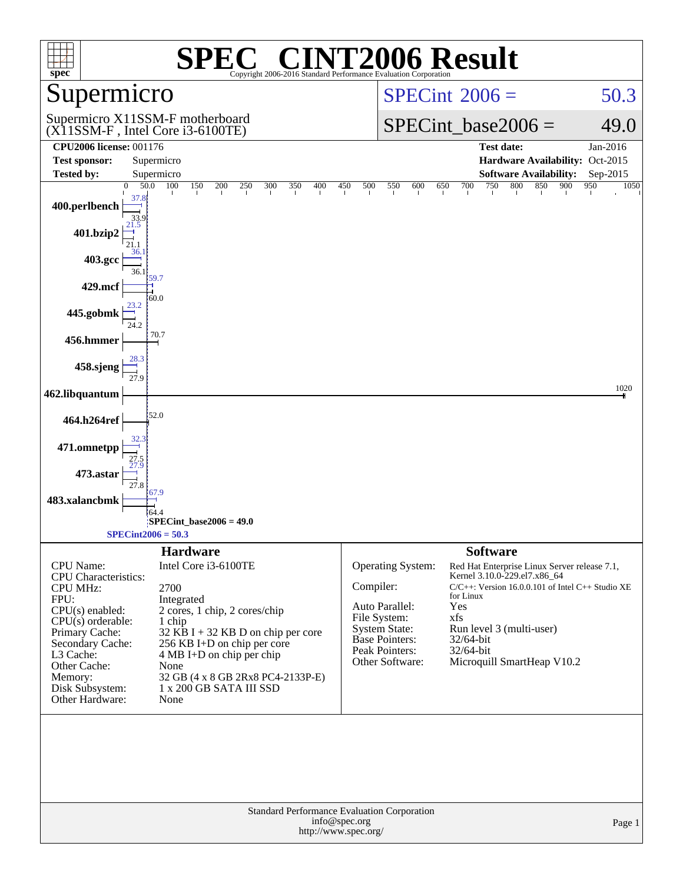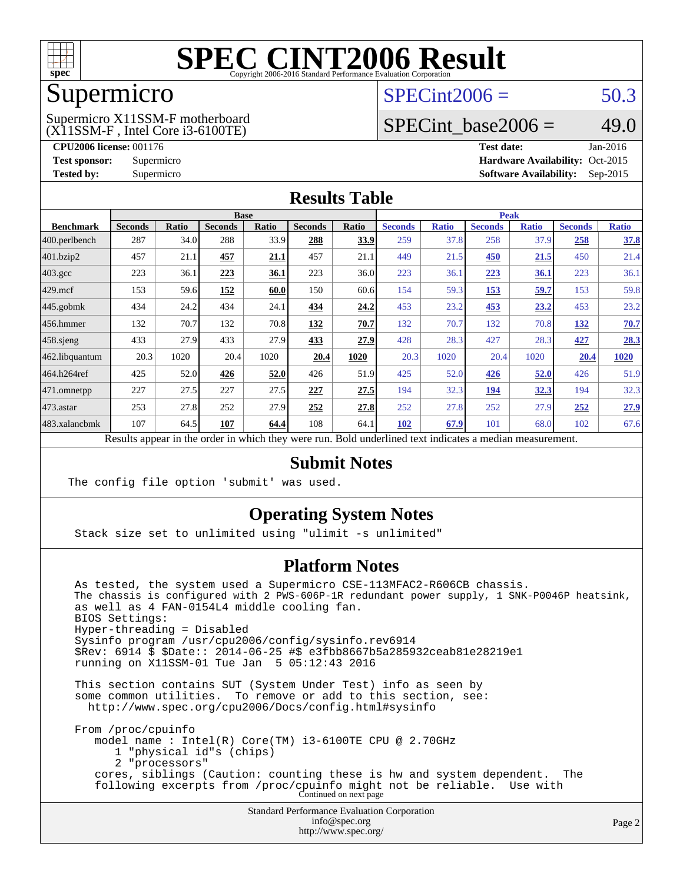

### Supermicro

#### (X11SSM-F , Intel Core i3-6100TE) Supermicro X11SSM-F motherboard

 $SPECint2006 = 50.3$  $SPECint2006 = 50.3$ 

### SPECint base2006 =  $49.0$

**[CPU2006 license:](http://www.spec.org/auto/cpu2006/Docs/result-fields.html#CPU2006license)** 001176 **[Test date:](http://www.spec.org/auto/cpu2006/Docs/result-fields.html#Testdate)** Jan-2016 **[Test sponsor:](http://www.spec.org/auto/cpu2006/Docs/result-fields.html#Testsponsor)** Supermicro Supermicro **[Hardware Availability:](http://www.spec.org/auto/cpu2006/Docs/result-fields.html#HardwareAvailability)** Oct-2015 **[Tested by:](http://www.spec.org/auto/cpu2006/Docs/result-fields.html#Testedby)** Supermicro **Supermicro [Software Availability:](http://www.spec.org/auto/cpu2006/Docs/result-fields.html#SoftwareAvailability)** Sep-2015

#### **[Results Table](http://www.spec.org/auto/cpu2006/Docs/result-fields.html#ResultsTable)**

|                    | <b>Base</b>    |       |                |       |                | <b>Peak</b>               |                       |                 |                |              |                |              |
|--------------------|----------------|-------|----------------|-------|----------------|---------------------------|-----------------------|-----------------|----------------|--------------|----------------|--------------|
| <b>Benchmark</b>   | <b>Seconds</b> | Ratio | <b>Seconds</b> | Ratio | <b>Seconds</b> | Ratio                     | <b>Seconds</b>        | <b>Ratio</b>    | <b>Seconds</b> | <b>Ratio</b> | <b>Seconds</b> | <b>Ratio</b> |
| 400.perlbench      | 287            | 34.0  | 288            | 33.9  | 288            | 33.9                      | 259                   | 37.8            | 258            | 37.9         | 258            | 37.8         |
| 401.bzip2          | 457            | 21.1  | 457            | 21.1  | 457            | 21.1                      | 449                   | 21.5            | 450            | 21.5         | 450            | 21.4         |
| $403.\mathrm{gcc}$ | 223            | 36.1  | 223            | 36.1  | 223            | 36.0                      | 223                   | 36.1            | 223            | 36.1         | 223            | 36.1         |
| $429$ .mcf         | 153            | 59.6  | 152            | 60.0  | 150            | 60.6                      | 154                   | 59.3            | 153            | 59.7         | 153            | 59.8         |
| $445$ .gobmk       | 434            | 24.2  | 434            | 24.1  | 434            | 24.2                      | 453                   | 23.2            | 453            | 23.2         | 453            | 23.2         |
| 456.hmmer          | 132            | 70.7  | 132            | 70.8  | 132            | 70.7                      | 132                   | 70.7            | 132            | 70.8         | 132            | 70.7         |
| $458$ sjeng        | 433            | 27.9  | 433            | 27.9  | 433            | 27.9                      | 428                   | 28.3            | 427            | 28.3         | 427            | 28.3         |
| 462.libquantum     | 20.3           | 1020  | 20.4           | 1020  | 20.4           | 1020                      | 20.3                  | 1020            | 20.4           | 1020         | 20.4           | 1020         |
| 464.h264ref        | 425            | 52.0  | 426            | 52.0  | 426            | 51.9                      | 425                   | 52.0            | 426            | 52.0         | 426            | 51.9         |
| 471.omnetpp        | 227            | 27.5  | 227            | 27.5  | 227            | 27.5                      | 194                   | 32.3            | 194            | 32.3         | 194            | 32.3         |
| $473$ . astar      | 253            | 27.8  | 252            | 27.9  | 252            | 27.8                      | 252                   | 27.8            | 252            | 27.9         | 252            | 27.9         |
| 483.xalancbmk      | 107            | 64.5  | 107            | 64.4  | 108            | 64.1                      | 102                   | 67.9            | 101            | 68.0         | 102            | 67.6         |
| n.                 | $\mathbf{1}$ . |       |                | 1.1.1 |                | $\mathbf{r}$ $\mathbf{r}$ | 1.1<br>$\blacksquare$ | $\cdot$ $\cdot$ | $\cdot$        |              |                |              |

Results appear in the [order in which they were run.](http://www.spec.org/auto/cpu2006/Docs/result-fields.html#RunOrder) Bold underlined text [indicates a median measurement.](http://www.spec.org/auto/cpu2006/Docs/result-fields.html#Median)

#### **[Submit Notes](http://www.spec.org/auto/cpu2006/Docs/result-fields.html#SubmitNotes)**

The config file option 'submit' was used.

### **[Operating System Notes](http://www.spec.org/auto/cpu2006/Docs/result-fields.html#OperatingSystemNotes)**

Stack size set to unlimited using "ulimit -s unlimited"

### **[Platform Notes](http://www.spec.org/auto/cpu2006/Docs/result-fields.html#PlatformNotes)**

 As tested, the system used a Supermicro CSE-113MFAC2-R606CB chassis. The chassis is configured with 2  $\bar{P}WS-606P-1R$  redundant power supply, 1 SNK-P0046P heatsink, as well as 4 FAN-0154L4 middle cooling fan. BIOS Settings: Hyper-threading = Disabled Sysinfo program /usr/cpu2006/config/sysinfo.rev6914 \$Rev: 6914 \$ \$Date:: 2014-06-25 #\$ e3fbb8667b5a285932ceab81e28219e1 running on X11SSM-01 Tue Jan 5 05:12:43 2016 This section contains SUT (System Under Test) info as seen by some common utilities. To remove or add to this section, see: <http://www.spec.org/cpu2006/Docs/config.html#sysinfo> From /proc/cpuinfo model name : Intel(R) Core(TM) i3-6100TE CPU @ 2.70GHz

1 "physical id"s (chips)

2 "processors"

 cores, siblings (Caution: counting these is hw and system dependent. The following excerpts from /proc/cpuinfo might not be reliable. Use with Continued on next page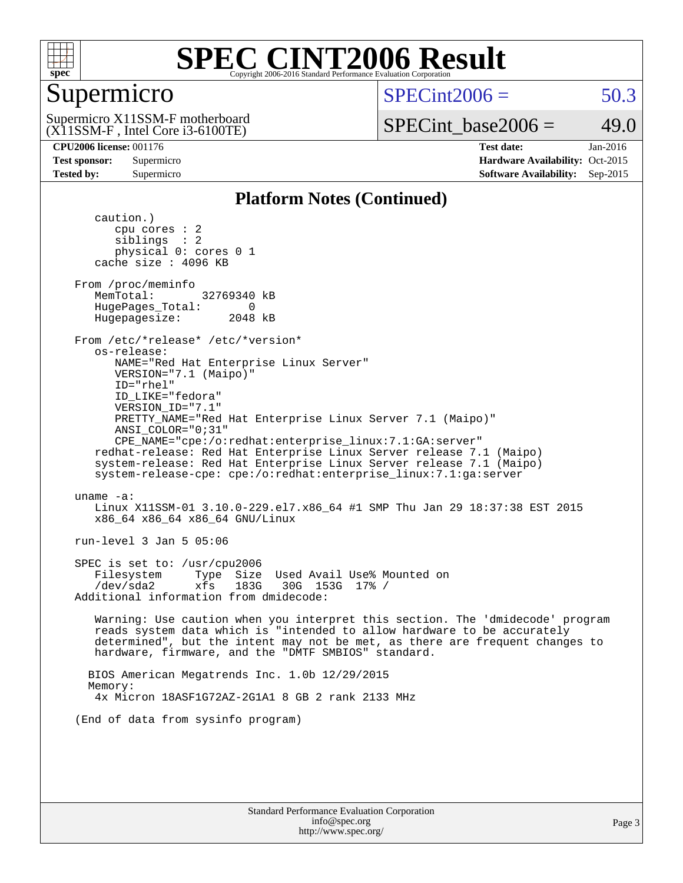

### Supermicro

 $SPECint2006 = 50.3$  $SPECint2006 = 50.3$ 

(X11SSM-F , Intel Core i3-6100TE) Supermicro X11SSM-F motherboard SPECint base2006 =  $49.0$ 

**[CPU2006 license:](http://www.spec.org/auto/cpu2006/Docs/result-fields.html#CPU2006license)** 001176 **[Test date:](http://www.spec.org/auto/cpu2006/Docs/result-fields.html#Testdate)** Jan-2016 **[Test sponsor:](http://www.spec.org/auto/cpu2006/Docs/result-fields.html#Testsponsor)** Supermicro Supermicro **[Hardware Availability:](http://www.spec.org/auto/cpu2006/Docs/result-fields.html#HardwareAvailability)** Oct-2015 **[Tested by:](http://www.spec.org/auto/cpu2006/Docs/result-fields.html#Testedby)** Supermicro **Supermicro [Software Availability:](http://www.spec.org/auto/cpu2006/Docs/result-fields.html#SoftwareAvailability)** Sep-2015

#### **[Platform Notes \(Continued\)](http://www.spec.org/auto/cpu2006/Docs/result-fields.html#PlatformNotes)**

 caution.) cpu cores : 2 siblings : 2 physical 0: cores 0 1 cache size : 4096 KB From /proc/meminfo MemTotal: 32769340 kB HugePages\_Total: 0<br>Hugepagesize: 2048 kB Hugepagesize: From /etc/\*release\* /etc/\*version\* os-release: NAME="Red Hat Enterprise Linux Server" VERSION="7.1 (Maipo)" ID="rhel" ID\_LIKE="fedora" VERSION\_ID="7.1" PRETTY\_NAME="Red Hat Enterprise Linux Server 7.1 (Maipo)" ANSI\_COLOR="0;31" CPE\_NAME="cpe:/o:redhat:enterprise\_linux:7.1:GA:server" redhat-release: Red Hat Enterprise Linux Server release 7.1 (Maipo) system-release: Red Hat Enterprise Linux Server release 7.1 (Maipo) system-release-cpe: cpe:/o:redhat:enterprise\_linux:7.1:ga:server uname -a: Linux X11SSM-01 3.10.0-229.el7.x86\_64 #1 SMP Thu Jan 29 18:37:38 EST 2015 x86\_64 x86\_64 x86\_64 GNU/Linux run-level 3 Jan 5 05:06 SPEC is set to: /usr/cpu2006 Filesystem Type Size Used Avail Use% Mounted on /dev/sda2 xfs 183G 30G 153G 17% / Additional information from dmidecode: Warning: Use caution when you interpret this section. The 'dmidecode' program reads system data which is "intended to allow hardware to be accurately determined", but the intent may not be met, as there are frequent changes to hardware, firmware, and the "DMTF SMBIOS" standard. BIOS American Megatrends Inc. 1.0b 12/29/2015 Memory: 4x Micron 18ASF1G72AZ-2G1A1 8 GB 2 rank 2133 MHz (End of data from sysinfo program)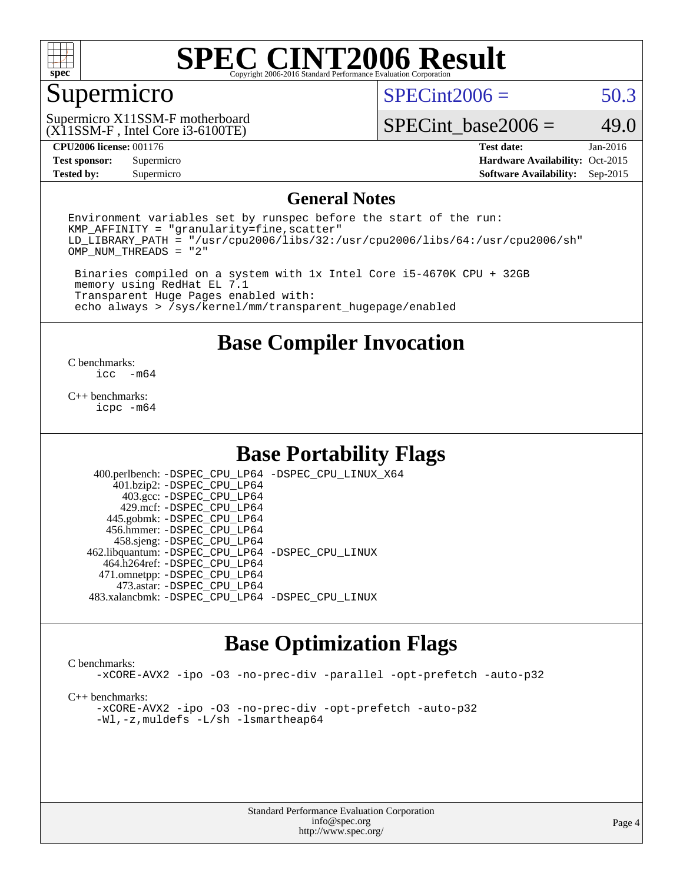

### Supermicro

 $SPECint2006 = 50.3$  $SPECint2006 = 50.3$ 

(X11SSM-F , Intel Core i3-6100TE) Supermicro X11SSM-F motherboard

SPECint base2006 =  $49.0$ 

**[Tested by:](http://www.spec.org/auto/cpu2006/Docs/result-fields.html#Testedby)** Supermicro **Supermicro [Software Availability:](http://www.spec.org/auto/cpu2006/Docs/result-fields.html#SoftwareAvailability)** Sep-2015

**[CPU2006 license:](http://www.spec.org/auto/cpu2006/Docs/result-fields.html#CPU2006license)** 001176 **[Test date:](http://www.spec.org/auto/cpu2006/Docs/result-fields.html#Testdate)** Jan-2016 **[Test sponsor:](http://www.spec.org/auto/cpu2006/Docs/result-fields.html#Testsponsor)** Supermicro Supermicro **[Hardware Availability:](http://www.spec.org/auto/cpu2006/Docs/result-fields.html#HardwareAvailability)** Oct-2015

#### **[General Notes](http://www.spec.org/auto/cpu2006/Docs/result-fields.html#GeneralNotes)**

Environment variables set by runspec before the start of the run:  $KMP$  AFFINITY = "granularity=fine, scatter" LD\_LIBRARY\_PATH = "/usr/cpu2006/libs/32:/usr/cpu2006/libs/64:/usr/cpu2006/sh" OMP\_NUM\_THREADS = "2"

 Binaries compiled on a system with 1x Intel Core i5-4670K CPU + 32GB memory using RedHat EL 7.1 Transparent Huge Pages enabled with: echo always > /sys/kernel/mm/transparent\_hugepage/enabled

**[Base Compiler Invocation](http://www.spec.org/auto/cpu2006/Docs/result-fields.html#BaseCompilerInvocation)**

 $\frac{C \text{ benchmarks:}}{C \text{ C}}$ -m64

[C++ benchmarks:](http://www.spec.org/auto/cpu2006/Docs/result-fields.html#CXXbenchmarks) [icpc -m64](http://www.spec.org/cpu2006/results/res2016q1/cpu2006-20160107-38622.flags.html#user_CXXbase_intel_icpc_64bit_fc66a5337ce925472a5c54ad6a0de310)

### **[Base Portability Flags](http://www.spec.org/auto/cpu2006/Docs/result-fields.html#BasePortabilityFlags)**

 400.perlbench: [-DSPEC\\_CPU\\_LP64](http://www.spec.org/cpu2006/results/res2016q1/cpu2006-20160107-38622.flags.html#b400.perlbench_basePORTABILITY_DSPEC_CPU_LP64) [-DSPEC\\_CPU\\_LINUX\\_X64](http://www.spec.org/cpu2006/results/res2016q1/cpu2006-20160107-38622.flags.html#b400.perlbench_baseCPORTABILITY_DSPEC_CPU_LINUX_X64) 401.bzip2: [-DSPEC\\_CPU\\_LP64](http://www.spec.org/cpu2006/results/res2016q1/cpu2006-20160107-38622.flags.html#suite_basePORTABILITY401_bzip2_DSPEC_CPU_LP64) 403.gcc: [-DSPEC\\_CPU\\_LP64](http://www.spec.org/cpu2006/results/res2016q1/cpu2006-20160107-38622.flags.html#suite_basePORTABILITY403_gcc_DSPEC_CPU_LP64) 429.mcf: [-DSPEC\\_CPU\\_LP64](http://www.spec.org/cpu2006/results/res2016q1/cpu2006-20160107-38622.flags.html#suite_basePORTABILITY429_mcf_DSPEC_CPU_LP64) 445.gobmk: [-DSPEC\\_CPU\\_LP64](http://www.spec.org/cpu2006/results/res2016q1/cpu2006-20160107-38622.flags.html#suite_basePORTABILITY445_gobmk_DSPEC_CPU_LP64) 456.hmmer: [-DSPEC\\_CPU\\_LP64](http://www.spec.org/cpu2006/results/res2016q1/cpu2006-20160107-38622.flags.html#suite_basePORTABILITY456_hmmer_DSPEC_CPU_LP64) 458.sjeng: [-DSPEC\\_CPU\\_LP64](http://www.spec.org/cpu2006/results/res2016q1/cpu2006-20160107-38622.flags.html#suite_basePORTABILITY458_sjeng_DSPEC_CPU_LP64) 462.libquantum: [-DSPEC\\_CPU\\_LP64](http://www.spec.org/cpu2006/results/res2016q1/cpu2006-20160107-38622.flags.html#suite_basePORTABILITY462_libquantum_DSPEC_CPU_LP64) [-DSPEC\\_CPU\\_LINUX](http://www.spec.org/cpu2006/results/res2016q1/cpu2006-20160107-38622.flags.html#b462.libquantum_baseCPORTABILITY_DSPEC_CPU_LINUX) 464.h264ref: [-DSPEC\\_CPU\\_LP64](http://www.spec.org/cpu2006/results/res2016q1/cpu2006-20160107-38622.flags.html#suite_basePORTABILITY464_h264ref_DSPEC_CPU_LP64) 471.omnetpp: [-DSPEC\\_CPU\\_LP64](http://www.spec.org/cpu2006/results/res2016q1/cpu2006-20160107-38622.flags.html#suite_basePORTABILITY471_omnetpp_DSPEC_CPU_LP64) 473.astar: [-DSPEC\\_CPU\\_LP64](http://www.spec.org/cpu2006/results/res2016q1/cpu2006-20160107-38622.flags.html#suite_basePORTABILITY473_astar_DSPEC_CPU_LP64) 483.xalancbmk: [-DSPEC\\_CPU\\_LP64](http://www.spec.org/cpu2006/results/res2016q1/cpu2006-20160107-38622.flags.html#suite_basePORTABILITY483_xalancbmk_DSPEC_CPU_LP64) [-DSPEC\\_CPU\\_LINUX](http://www.spec.org/cpu2006/results/res2016q1/cpu2006-20160107-38622.flags.html#b483.xalancbmk_baseCXXPORTABILITY_DSPEC_CPU_LINUX)

### **[Base Optimization Flags](http://www.spec.org/auto/cpu2006/Docs/result-fields.html#BaseOptimizationFlags)**

#### [C benchmarks](http://www.spec.org/auto/cpu2006/Docs/result-fields.html#Cbenchmarks):

[-xCORE-AVX2](http://www.spec.org/cpu2006/results/res2016q1/cpu2006-20160107-38622.flags.html#user_CCbase_f-xAVX2_5f5fc0cbe2c9f62c816d3e45806c70d7) [-ipo](http://www.spec.org/cpu2006/results/res2016q1/cpu2006-20160107-38622.flags.html#user_CCbase_f-ipo) [-O3](http://www.spec.org/cpu2006/results/res2016q1/cpu2006-20160107-38622.flags.html#user_CCbase_f-O3) [-no-prec-div](http://www.spec.org/cpu2006/results/res2016q1/cpu2006-20160107-38622.flags.html#user_CCbase_f-no-prec-div) [-parallel](http://www.spec.org/cpu2006/results/res2016q1/cpu2006-20160107-38622.flags.html#user_CCbase_f-parallel) [-opt-prefetch](http://www.spec.org/cpu2006/results/res2016q1/cpu2006-20160107-38622.flags.html#user_CCbase_f-opt-prefetch) [-auto-p32](http://www.spec.org/cpu2006/results/res2016q1/cpu2006-20160107-38622.flags.html#user_CCbase_f-auto-p32)

[C++ benchmarks:](http://www.spec.org/auto/cpu2006/Docs/result-fields.html#CXXbenchmarks)

[-xCORE-AVX2](http://www.spec.org/cpu2006/results/res2016q1/cpu2006-20160107-38622.flags.html#user_CXXbase_f-xAVX2_5f5fc0cbe2c9f62c816d3e45806c70d7) [-ipo](http://www.spec.org/cpu2006/results/res2016q1/cpu2006-20160107-38622.flags.html#user_CXXbase_f-ipo) [-O3](http://www.spec.org/cpu2006/results/res2016q1/cpu2006-20160107-38622.flags.html#user_CXXbase_f-O3) [-no-prec-div](http://www.spec.org/cpu2006/results/res2016q1/cpu2006-20160107-38622.flags.html#user_CXXbase_f-no-prec-div) [-opt-prefetch](http://www.spec.org/cpu2006/results/res2016q1/cpu2006-20160107-38622.flags.html#user_CXXbase_f-opt-prefetch) [-auto-p32](http://www.spec.org/cpu2006/results/res2016q1/cpu2006-20160107-38622.flags.html#user_CXXbase_f-auto-p32) [-Wl,-z,muldefs](http://www.spec.org/cpu2006/results/res2016q1/cpu2006-20160107-38622.flags.html#user_CXXbase_link_force_multiple1_74079c344b956b9658436fd1b6dd3a8a) [-L/sh -lsmartheap64](http://www.spec.org/cpu2006/results/res2016q1/cpu2006-20160107-38622.flags.html#user_CXXbase_SmartHeap64_ed4ef857ce90951921efb0d91eb88472)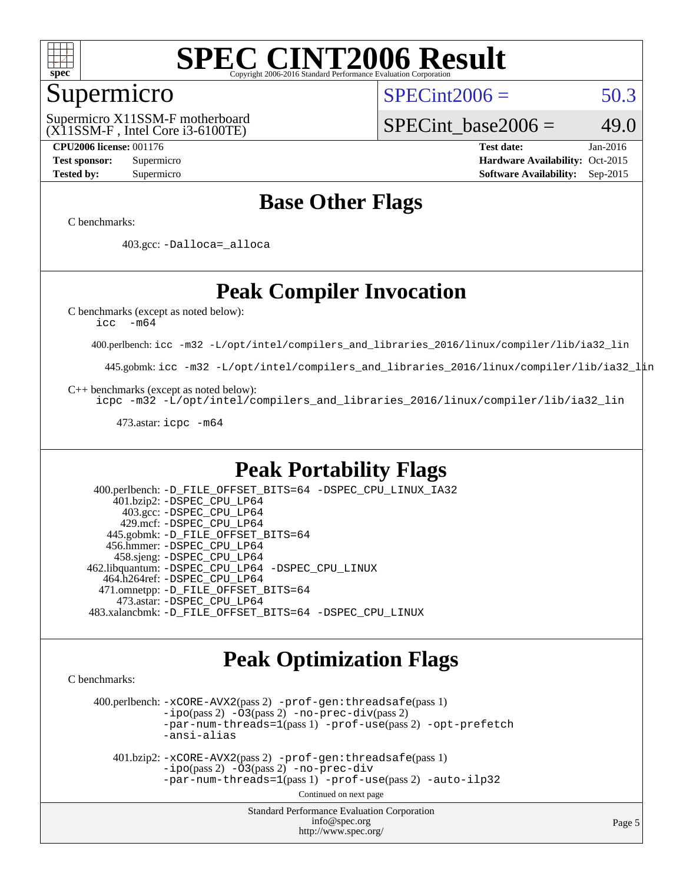

### Supermicro

(X11SSM-F , Intel Core i3-6100TE) Supermicro X11SSM-F motherboard  $SPECint2006 = 50.3$  $SPECint2006 = 50.3$ 

SPECint base2006 =  $49.0$ 

**[CPU2006 license:](http://www.spec.org/auto/cpu2006/Docs/result-fields.html#CPU2006license)** 001176 **[Test date:](http://www.spec.org/auto/cpu2006/Docs/result-fields.html#Testdate)** Jan-2016 **[Test sponsor:](http://www.spec.org/auto/cpu2006/Docs/result-fields.html#Testsponsor)** Supermicro Supermicro **[Hardware Availability:](http://www.spec.org/auto/cpu2006/Docs/result-fields.html#HardwareAvailability)** Oct-2015 **[Tested by:](http://www.spec.org/auto/cpu2006/Docs/result-fields.html#Testedby)** Supermicro **Supermicro [Software Availability:](http://www.spec.org/auto/cpu2006/Docs/result-fields.html#SoftwareAvailability)** Sep-2015

### **[Base Other Flags](http://www.spec.org/auto/cpu2006/Docs/result-fields.html#BaseOtherFlags)**

[C benchmarks](http://www.spec.org/auto/cpu2006/Docs/result-fields.html#Cbenchmarks):

403.gcc: [-Dalloca=\\_alloca](http://www.spec.org/cpu2006/results/res2016q1/cpu2006-20160107-38622.flags.html#b403.gcc_baseEXTRA_CFLAGS_Dalloca_be3056838c12de2578596ca5467af7f3)

### **[Peak Compiler Invocation](http://www.spec.org/auto/cpu2006/Docs/result-fields.html#PeakCompilerInvocation)**

[C benchmarks \(except as noted below\)](http://www.spec.org/auto/cpu2006/Docs/result-fields.html#Cbenchmarksexceptasnotedbelow):

[icc -m64](http://www.spec.org/cpu2006/results/res2016q1/cpu2006-20160107-38622.flags.html#user_CCpeak_intel_icc_64bit_f346026e86af2a669e726fe758c88044)

400.perlbench: [icc -m32 -L/opt/intel/compilers\\_and\\_libraries\\_2016/linux/compiler/lib/ia32\\_lin](http://www.spec.org/cpu2006/results/res2016q1/cpu2006-20160107-38622.flags.html#user_peakCCLD400_perlbench_intel_icc_e10256ba5924b668798078a321b0cb3f)

445.gobmk: [icc -m32 -L/opt/intel/compilers\\_and\\_libraries\\_2016/linux/compiler/lib/ia32\\_lin](http://www.spec.org/cpu2006/results/res2016q1/cpu2006-20160107-38622.flags.html#user_peakCCLD445_gobmk_intel_icc_e10256ba5924b668798078a321b0cb3f)

[C++ benchmarks \(except as noted below\):](http://www.spec.org/auto/cpu2006/Docs/result-fields.html#CXXbenchmarksexceptasnotedbelow)

[icpc -m32 -L/opt/intel/compilers\\_and\\_libraries\\_2016/linux/compiler/lib/ia32\\_lin](http://www.spec.org/cpu2006/results/res2016q1/cpu2006-20160107-38622.flags.html#user_CXXpeak_intel_icpc_b4f50a394bdb4597aa5879c16bc3f5c5)

473.astar: [icpc -m64](http://www.spec.org/cpu2006/results/res2016q1/cpu2006-20160107-38622.flags.html#user_peakCXXLD473_astar_intel_icpc_64bit_fc66a5337ce925472a5c54ad6a0de310)

### **[Peak Portability Flags](http://www.spec.org/auto/cpu2006/Docs/result-fields.html#PeakPortabilityFlags)**

 400.perlbench: [-D\\_FILE\\_OFFSET\\_BITS=64](http://www.spec.org/cpu2006/results/res2016q1/cpu2006-20160107-38622.flags.html#user_peakPORTABILITY400_perlbench_file_offset_bits_64_438cf9856305ebd76870a2c6dc2689ab) [-DSPEC\\_CPU\\_LINUX\\_IA32](http://www.spec.org/cpu2006/results/res2016q1/cpu2006-20160107-38622.flags.html#b400.perlbench_peakCPORTABILITY_DSPEC_CPU_LINUX_IA32) 401.bzip2: [-DSPEC\\_CPU\\_LP64](http://www.spec.org/cpu2006/results/res2016q1/cpu2006-20160107-38622.flags.html#suite_peakPORTABILITY401_bzip2_DSPEC_CPU_LP64) 403.gcc: [-DSPEC\\_CPU\\_LP64](http://www.spec.org/cpu2006/results/res2016q1/cpu2006-20160107-38622.flags.html#suite_peakPORTABILITY403_gcc_DSPEC_CPU_LP64) 429.mcf: [-DSPEC\\_CPU\\_LP64](http://www.spec.org/cpu2006/results/res2016q1/cpu2006-20160107-38622.flags.html#suite_peakPORTABILITY429_mcf_DSPEC_CPU_LP64) 445.gobmk: [-D\\_FILE\\_OFFSET\\_BITS=64](http://www.spec.org/cpu2006/results/res2016q1/cpu2006-20160107-38622.flags.html#user_peakPORTABILITY445_gobmk_file_offset_bits_64_438cf9856305ebd76870a2c6dc2689ab) 456.hmmer: [-DSPEC\\_CPU\\_LP64](http://www.spec.org/cpu2006/results/res2016q1/cpu2006-20160107-38622.flags.html#suite_peakPORTABILITY456_hmmer_DSPEC_CPU_LP64) 458.sjeng: [-DSPEC\\_CPU\\_LP64](http://www.spec.org/cpu2006/results/res2016q1/cpu2006-20160107-38622.flags.html#suite_peakPORTABILITY458_sjeng_DSPEC_CPU_LP64) 462.libquantum: [-DSPEC\\_CPU\\_LP64](http://www.spec.org/cpu2006/results/res2016q1/cpu2006-20160107-38622.flags.html#suite_peakPORTABILITY462_libquantum_DSPEC_CPU_LP64) [-DSPEC\\_CPU\\_LINUX](http://www.spec.org/cpu2006/results/res2016q1/cpu2006-20160107-38622.flags.html#b462.libquantum_peakCPORTABILITY_DSPEC_CPU_LINUX) 464.h264ref: [-DSPEC\\_CPU\\_LP64](http://www.spec.org/cpu2006/results/res2016q1/cpu2006-20160107-38622.flags.html#suite_peakPORTABILITY464_h264ref_DSPEC_CPU_LP64) 471.omnetpp: [-D\\_FILE\\_OFFSET\\_BITS=64](http://www.spec.org/cpu2006/results/res2016q1/cpu2006-20160107-38622.flags.html#user_peakPORTABILITY471_omnetpp_file_offset_bits_64_438cf9856305ebd76870a2c6dc2689ab) 473.astar: [-DSPEC\\_CPU\\_LP64](http://www.spec.org/cpu2006/results/res2016q1/cpu2006-20160107-38622.flags.html#suite_peakPORTABILITY473_astar_DSPEC_CPU_LP64) 483.xalancbmk: [-D\\_FILE\\_OFFSET\\_BITS=64](http://www.spec.org/cpu2006/results/res2016q1/cpu2006-20160107-38622.flags.html#user_peakPORTABILITY483_xalancbmk_file_offset_bits_64_438cf9856305ebd76870a2c6dc2689ab) [-DSPEC\\_CPU\\_LINUX](http://www.spec.org/cpu2006/results/res2016q1/cpu2006-20160107-38622.flags.html#b483.xalancbmk_peakCXXPORTABILITY_DSPEC_CPU_LINUX)

### **[Peak Optimization Flags](http://www.spec.org/auto/cpu2006/Docs/result-fields.html#PeakOptimizationFlags)**

[C benchmarks](http://www.spec.org/auto/cpu2006/Docs/result-fields.html#Cbenchmarks):

 400.perlbench: [-xCORE-AVX2](http://www.spec.org/cpu2006/results/res2016q1/cpu2006-20160107-38622.flags.html#user_peakPASS2_CFLAGSPASS2_LDCFLAGS400_perlbench_f-xAVX2_5f5fc0cbe2c9f62c816d3e45806c70d7)(pass 2) [-prof-gen:threadsafe](http://www.spec.org/cpu2006/results/res2016q1/cpu2006-20160107-38622.flags.html#user_peakPASS1_CFLAGSPASS1_LDCFLAGS400_perlbench_prof_gen_21a26eb79f378b550acd7bec9fe4467a)(pass 1)  $-i\text{po}(pass 2) -\tilde{O}3(pass 2)$  [-no-prec-div](http://www.spec.org/cpu2006/results/res2016q1/cpu2006-20160107-38622.flags.html#user_peakPASS2_CFLAGSPASS2_LDCFLAGS400_perlbench_f-no-prec-div)(pass 2) [-par-num-threads=1](http://www.spec.org/cpu2006/results/res2016q1/cpu2006-20160107-38622.flags.html#user_peakPASS1_CFLAGSPASS1_LDCFLAGS400_perlbench_par_num_threads_786a6ff141b4e9e90432e998842df6c2)(pass 1) [-prof-use](http://www.spec.org/cpu2006/results/res2016q1/cpu2006-20160107-38622.flags.html#user_peakPASS2_CFLAGSPASS2_LDCFLAGS400_perlbench_prof_use_bccf7792157ff70d64e32fe3e1250b55)(pass 2) [-opt-prefetch](http://www.spec.org/cpu2006/results/res2016q1/cpu2006-20160107-38622.flags.html#user_peakCOPTIMIZE400_perlbench_f-opt-prefetch) [-ansi-alias](http://www.spec.org/cpu2006/results/res2016q1/cpu2006-20160107-38622.flags.html#user_peakCOPTIMIZE400_perlbench_f-ansi-alias)

 401.bzip2: [-xCORE-AVX2](http://www.spec.org/cpu2006/results/res2016q1/cpu2006-20160107-38622.flags.html#user_peakPASS2_CFLAGSPASS2_LDCFLAGS401_bzip2_f-xAVX2_5f5fc0cbe2c9f62c816d3e45806c70d7)(pass 2) [-prof-gen:threadsafe](http://www.spec.org/cpu2006/results/res2016q1/cpu2006-20160107-38622.flags.html#user_peakPASS1_CFLAGSPASS1_LDCFLAGS401_bzip2_prof_gen_21a26eb79f378b550acd7bec9fe4467a)(pass 1)  $-i\text{po}(pass 2) -\overline{O}3(pass 2)$  [-no-prec-div](http://www.spec.org/cpu2006/results/res2016q1/cpu2006-20160107-38622.flags.html#user_peakCOPTIMIZEPASS2_CFLAGSPASS2_LDCFLAGS401_bzip2_f-no-prec-div) [-par-num-threads=1](http://www.spec.org/cpu2006/results/res2016q1/cpu2006-20160107-38622.flags.html#user_peakPASS1_CFLAGSPASS1_LDCFLAGS401_bzip2_par_num_threads_786a6ff141b4e9e90432e998842df6c2)(pass 1) [-prof-use](http://www.spec.org/cpu2006/results/res2016q1/cpu2006-20160107-38622.flags.html#user_peakPASS2_CFLAGSPASS2_LDCFLAGS401_bzip2_prof_use_bccf7792157ff70d64e32fe3e1250b55)(pass 2) [-auto-ilp32](http://www.spec.org/cpu2006/results/res2016q1/cpu2006-20160107-38622.flags.html#user_peakCOPTIMIZE401_bzip2_f-auto-ilp32)

Continued on next page

Standard Performance Evaluation Corporation [info@spec.org](mailto:info@spec.org) <http://www.spec.org/>

Page 5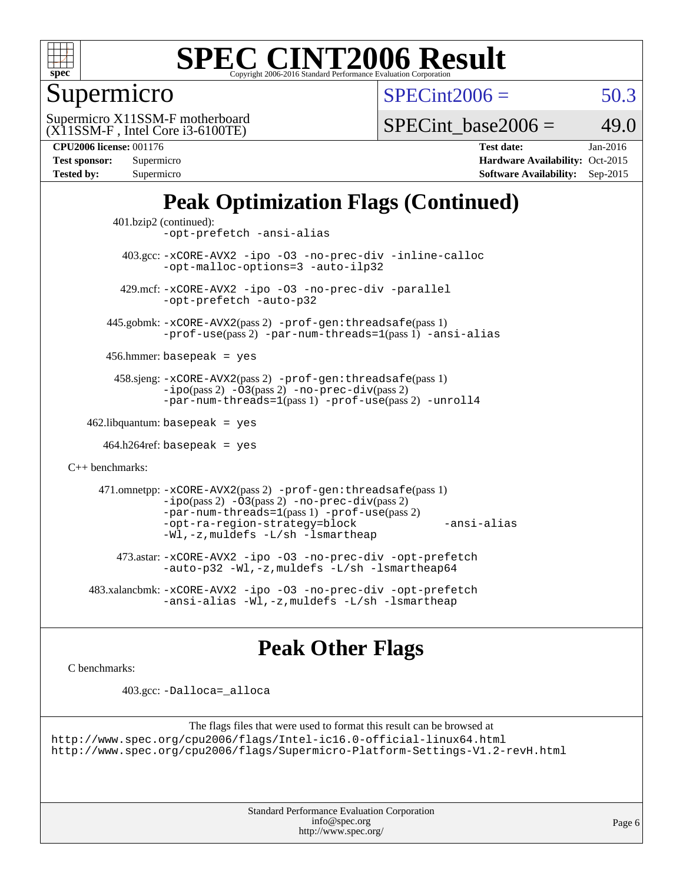

### Supermicro

 $SPECint2006 = 50.3$  $SPECint2006 = 50.3$ 

(X11SSM-F , Intel Core i3-6100TE) Supermicro X11SSM-F motherboard

SPECint base2006 =  $49.0$ 

**[CPU2006 license:](http://www.spec.org/auto/cpu2006/Docs/result-fields.html#CPU2006license)** 001176 **[Test date:](http://www.spec.org/auto/cpu2006/Docs/result-fields.html#Testdate)** Jan-2016

| Test sponsor:     | Supermicro |
|-------------------|------------|
| <b>Tested by:</b> | Supermicro |

**[Hardware Availability:](http://www.spec.org/auto/cpu2006/Docs/result-fields.html#HardwareAvailability)** Oct-2015 **[Software Availability:](http://www.spec.org/auto/cpu2006/Docs/result-fields.html#SoftwareAvailability)** Sep-2015

## **[Peak Optimization Flags \(Continued\)](http://www.spec.org/auto/cpu2006/Docs/result-fields.html#PeakOptimizationFlags)**

```
 401.bzip2 (continued):
                -opt-prefetch -ansi-alias
          403.gcc: -xCORE-AVX2 -ipo -O3 -no-prec-div -inline-calloc
                -opt-malloc-options=3 -auto-ilp32
         429.mcf: -xCORE-AVX2 -ipo -O3 -no-prec-div -parallel
                -opt-prefetch -auto-p32
       445.gobmk: -xCORE-AVX2(pass 2) -prof-gen:threadsafe(pass 1)
                -prof-use(pass 2) -par-num-threads=1(pass 1) -ansi-alias
       456.hmmer: basepeak = yes
        458.sjeng: -xCORE-AVX2(pass 2) -prof-gen:threadsafe(pass 1)
                -i\text{po}(pass 2) -\tilde{O}3(pass 2)-no-prec-div(pass 2)
                -par-num-threads=1(pass 1) -prof-use(pass 2) -unroll4
   462.libquantum: basepeak = yes
     464.h264ref: basepeak = yes
C++ benchmarks: 
      471.omnetpp: -xCORE-AVX2(pass 2) -prof-gen:threadsafe(pass 1)
                -i\text{po}(pass 2) -\overline{O}3(pass 2) -no-\overline{prec}\-div(pass 2)-par-num-threads=1(pass 1) -prof-use(pass 2)
                -opt-ra-region-strategy=block -ansi-alias
                -Wl,-z,muldefs -L/sh -lsmartheap
         473.astar: -xCORE-AVX2 -ipo -O3 -no-prec-div -opt-prefetch
                -auto-p32 -Wl,-z,muldefs -L/sh -lsmartheap64
    483.xalancbmk: -xCORE-AVX2 -ipo -O3 -no-prec-div -opt-prefetch
                -ansi-alias-L/sh -lsmartheap
```
### **[Peak Other Flags](http://www.spec.org/auto/cpu2006/Docs/result-fields.html#PeakOtherFlags)**

[C benchmarks](http://www.spec.org/auto/cpu2006/Docs/result-fields.html#Cbenchmarks):

403.gcc: [-Dalloca=\\_alloca](http://www.spec.org/cpu2006/results/res2016q1/cpu2006-20160107-38622.flags.html#b403.gcc_peakEXTRA_CFLAGS_Dalloca_be3056838c12de2578596ca5467af7f3)

```
The flags files that were used to format this result can be browsed at
http://www.spec.org/cpu2006/flags/Intel-ic16.0-official-linux64.html
http://www.spec.org/cpu2006/flags/Supermicro-Platform-Settings-V1.2-revH.html
```